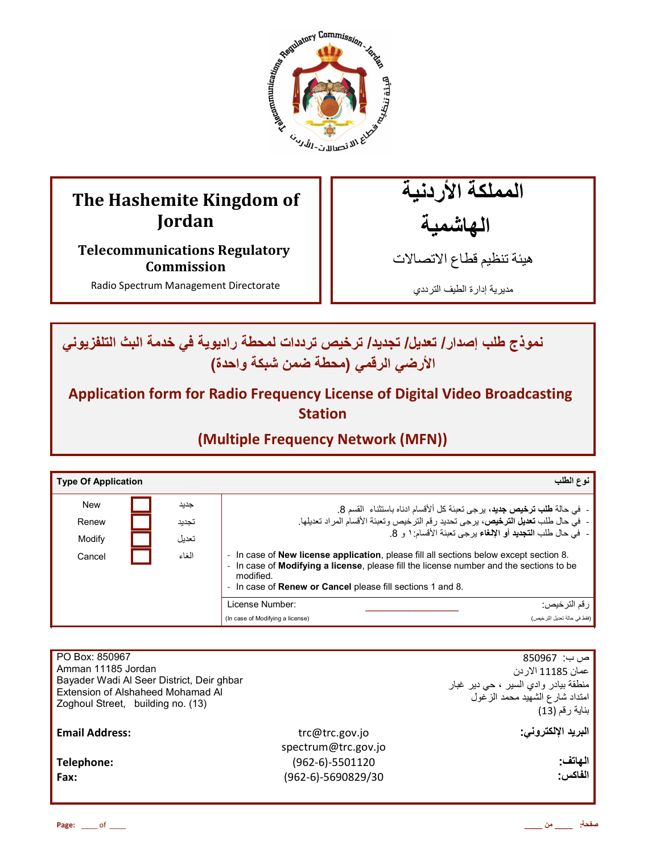

# **The Hashemite Kingdom of Jordan**

**Telecommunications Regulatory Commission** 

Radio Spectrum Management Directorate

المملكة الأردنية الهاشمية

هيئة تنظيم قطاع الاتصـالات

مديرية إدارة الطيف الترددي

ـ نموذج طلب إصدار / تعديل/ تجديد/ ترخيص ترددات لمحطة راديوية في خدمة البث التلفزيوني الأرضى الرق*مى* (محطة ضمن شبكة واحدة)

**Application form for Radio Frequency License of Digital Video Broadcasting Station** 

**(Multiple Frequency Network (MFN))**

| <b>Type Of Application</b> |       |                                                                                                                                                                                                                                                                               | نوع الطلب                                                                         |
|----------------------------|-------|-------------------------------------------------------------------------------------------------------------------------------------------------------------------------------------------------------------------------------------------------------------------------------|-----------------------------------------------------------------------------------|
| <b>New</b>                 | جديد  |                                                                                                                                                                                                                                                                               | -  في حالة <b>طلب ترخيص جديد</b> ، يرجى تعبئة كل ألأقسام ادناه باستثناء  القسم 8. |
| Renew                      | تجديد | -  في حال طلب تعديل الترخيص، يرجى تحديد رقم الترخيص وتعبئة الأقسام المراد تعديلها.                                                                                                                                                                                            |                                                                                   |
| Modify                     | تعديل |                                                                                                                                                                                                                                                                               | -  في حال طلب ا <b>لتجديد</b> أو الإ <b>لغاء</b> برجي تعبئة الأقسام: ١ و 8.       |
| Cancel                     | الغاء | In case of <b>New license application</b> , please fill all sections below except section 8.<br>In case of <b>Modifying a license</b> , please fill the license number and the sections to be<br>modified.<br>In case of <b>Renew or Cancel</b> please fill sections 1 and 8. |                                                                                   |
|                            |       | License Number:                                                                                                                                                                                                                                                               | ر قم التر خيص:                                                                    |
|                            |       | (In case of Modifying a license)                                                                                                                                                                                                                                              | (فقط في حالة تعديل التر خيص)                                                      |

| PO Box: 850967<br>Amman 11185 Jordan<br>Bayader Wadi Al Seer District, Deir ghbar<br>Extension of Alshaheed Mohamad Al<br>Zoghoul Street, building no. (13) |                                       | ص ب:  850967<br>عمان 11185 الار دن<br>منطقة بيادر وادي السير ، حي دير غبار<br>امتداد شارع الشهيد محمد الزغول<br>بناية رقم (13) |
|-------------------------------------------------------------------------------------------------------------------------------------------------------------|---------------------------------------|--------------------------------------------------------------------------------------------------------------------------------|
| <b>Email Address:</b>                                                                                                                                       | trc@trc.gov.jo<br>spectrum@trc.gov.jo | البريد الإلكتروني:                                                                                                             |
| Telephone:                                                                                                                                                  | (962-6)-5501120                       | الهاتف:                                                                                                                        |
| Fax:                                                                                                                                                        | $(962-6)-5690829/30$                  | الفاكس:                                                                                                                        |
|                                                                                                                                                             |                                       |                                                                                                                                |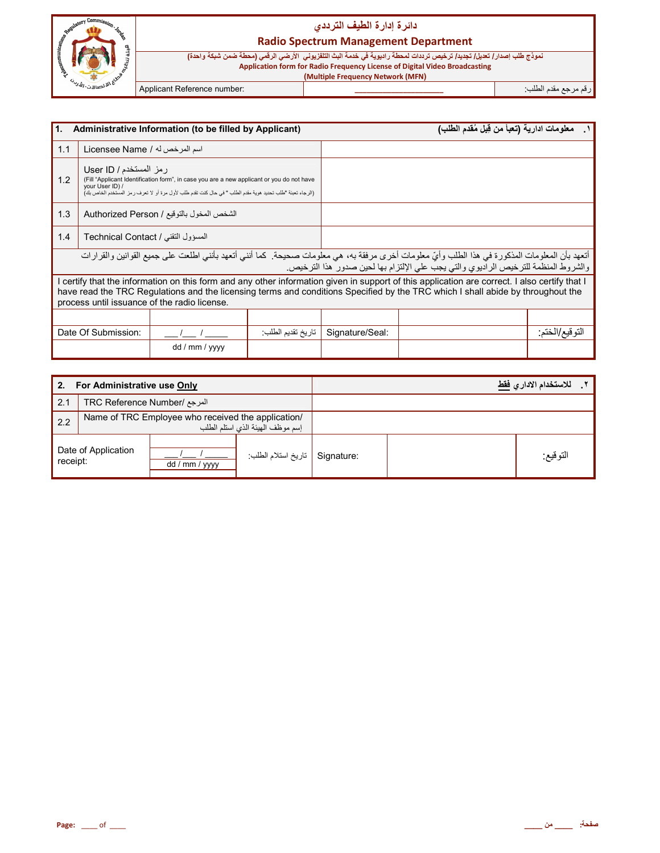

#### **Radio Spectrum Management Department**

نموذج طلب إصدار / تعديل/ تجديد/ ترخيص ترددات لمحطة راديوية في خدمة البث التلفزيوني الأرضي الرقمي <mark>(محطة ضمن شبكة واحدة)</mark> **Application form for Radio Frequency License of Digital Video Broadcasting**

**( Multiple Frequency Network (MFN)**

رم رg' دم اط+ب: **\_\_\_\_\_\_\_\_\_\_\_\_\_\_\_\_\_\_\_\_\_\_** :number Reference Applicant

| l1.<br>Administrative Information (to be filled by Applicant)                                                                                                                                                                                               |                                                                                                                                                                                                                                                                                                                                  |                |                   | معلومات ادارية (تعبأ من قِبل مُقدم الطلب) |  |                  |
|-------------------------------------------------------------------------------------------------------------------------------------------------------------------------------------------------------------------------------------------------------------|----------------------------------------------------------------------------------------------------------------------------------------------------------------------------------------------------------------------------------------------------------------------------------------------------------------------------------|----------------|-------------------|-------------------------------------------|--|------------------|
| 1.1                                                                                                                                                                                                                                                         | اسم المرخص له / Licensee Name                                                                                                                                                                                                                                                                                                    |                |                   |                                           |  |                  |
| رمز المستخدم / User ID<br>1.2<br>(Fill "Applicant Identification form", in case you are a new applicant or you do not have<br>vour User ID) /<br>(الرجاء تعبئة "طلب تحديد هوية مقدم الطلب " في حال كنت تقدم طلب لأول مرة أو لا تعرف ر مز المستخدم الخاص بك) |                                                                                                                                                                                                                                                                                                                                  |                |                   |                                           |  |                  |
| 1.3                                                                                                                                                                                                                                                         | الشخص المخول بالتوقيع / Authorized Person                                                                                                                                                                                                                                                                                        |                |                   |                                           |  |                  |
| 1.4                                                                                                                                                                                                                                                         | المسؤول التقني / Technical Contact                                                                                                                                                                                                                                                                                               |                |                   |                                           |  |                  |
|                                                                                                                                                                                                                                                             | أتعهد بأن المعلومات المذكورة في هذا الطلب وأيّ معلومات أخرى مرفقة به، هي معلومات صحيحة. كما أنني أتعهد بأنني اطلعت على جميع القوانين والقرارات<br>والشروط المنظمة للترخيص الراديوي والتي يجب على الإلتزام بها لحين صدور هذا الترخيص.                                                                                             |                |                   |                                           |  |                  |
|                                                                                                                                                                                                                                                             | I certify that the information on this form and any other information given in support of this application are correct. I also certify that I<br>have read the TRC Regulations and the licensing terms and conditions Specified by the TRC which I shall abide by throughout the<br>process until issuance of the radio license. |                |                   |                                           |  |                  |
|                                                                                                                                                                                                                                                             |                                                                                                                                                                                                                                                                                                                                  |                |                   |                                           |  |                  |
|                                                                                                                                                                                                                                                             | Date Of Submission:                                                                                                                                                                                                                                                                                                              |                | تاريخ تقديم الطلب | Signature/Seal:                           |  | النّو قيع/الختم: |
|                                                                                                                                                                                                                                                             |                                                                                                                                                                                                                                                                                                                                  | dd / mm / yyyy |                   |                                           |  |                  |

| 2.<br>For Administrative use Only |                                                                                        |                |                                | للاستخدام الادار ي <u>فقط</u> |          |  |
|-----------------------------------|----------------------------------------------------------------------------------------|----------------|--------------------------------|-------------------------------|----------|--|
| 2.1                               | TRC Reference Number/ المرجع                                                           |                |                                |                               |          |  |
| 2.2                               | Name of TRC Employee who received the application/<br>إسم موظف الهيئة الذي استلم الطلب |                |                                |                               |          |  |
| Date of Application<br>receipt:   |                                                                                        | dd / mm / yyyy | Signature   تاريخ استلام الطلب |                               | التوقيع: |  |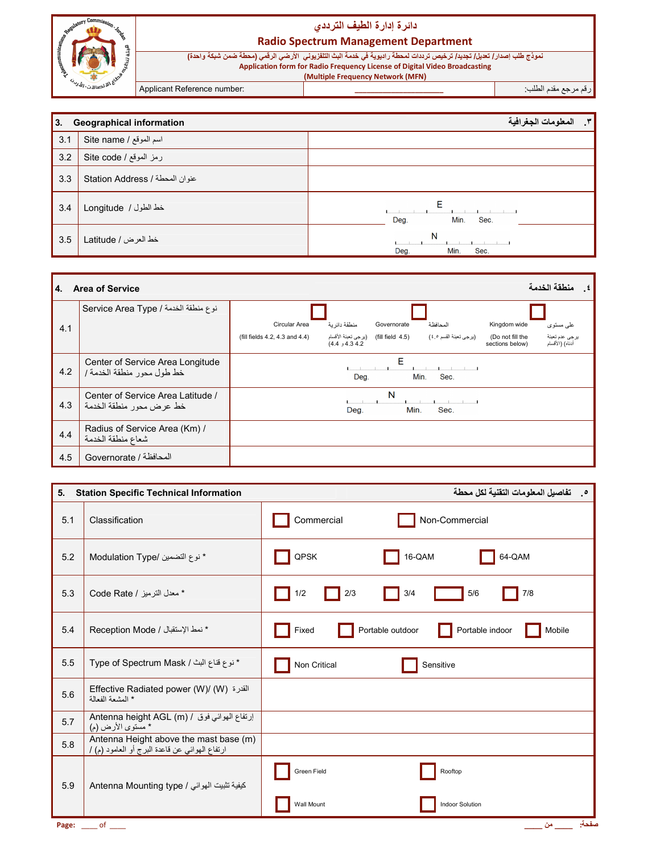

**Radio Spectrum Management Department** 

نموذج طلب إصدار / تعديل/ تجديد/ ترخيص ترددات لمحطة راديوية في خدمة البث التلفزيوني الأرضي الرقمي (محطة ضمن شبكة واحدة) مستعدد المستعدد المستعدد المستعدد المستعدد المستعدد المستعدد المستعدد المستعدد المستعدد المستعدد المستعدد المس<br>Application form for Radio Frequency License of Digital Video Broadcasting<br>Multiple Frequency Network (MFN)

Applicant Reference number:

رقم مرجع مقدم الطلب:

| l3. | <b>Geographical information</b> | المعلومات الجغرافية<br>$\mathbf{r}$ |
|-----|---------------------------------|-------------------------------------|
| 3.1 | Site name / اسم الموقع          |                                     |
| 3.2 | رمز الموقع / Site code          |                                     |
| 3.3 | عنوان المحطة / Station Address  |                                     |
| 3.4 | خط الطول / Longitude            | Е<br>Deg.<br>Min.<br>Sec.           |
| 3.5 | خط العرض / Latitude             | N<br>Deg.<br>Min.<br>Sec.           |

| 4.  | منطقة الخدمة<br><b>Area of Service</b><br>$\cdot$ .            |                                                                                                                                                                                                   |  |  |  |
|-----|----------------------------------------------------------------|---------------------------------------------------------------------------------------------------------------------------------------------------------------------------------------------------|--|--|--|
|     | نوع منطقة الخدمة / Service Area Type                           |                                                                                                                                                                                                   |  |  |  |
| 4.1 |                                                                | منطقة دائر بة<br>Circular Area<br>Governorate<br>المحافظة<br>Kingdom wide<br>علىي مستوى                                                                                                           |  |  |  |
|     |                                                                | (fill field   4.5)    (يرجى تعبئة الأقسام<br>يرجى عدم تعبئة<br>(برجي تعبئة القسم ٤٥)<br>(fill fields 4.2, 4.3 and 4.4)<br>(Do not fill the<br>أنناه) (الأقسام<br>4.34.2 و 4.4)<br>sections below) |  |  |  |
| 4.2 | Center of Service Area Longitude<br>خط طول محور منطقة الخدمة / | Е<br>Min.<br>Sec.<br>Deg.                                                                                                                                                                         |  |  |  |
| 4.3 | Center of Service Area Latitude /<br>خط عرض محور منطقة الخدمة  | N<br>Min.<br>Sec.<br>Deg.                                                                                                                                                                         |  |  |  |
| 4.4 | Radius of Service Area (Km) /<br>شعاع منطقة الخدمة             |                                                                                                                                                                                                   |  |  |  |
| 4.5 | المحافظة / Governorate                                         |                                                                                                                                                                                                   |  |  |  |

| 5.  | <b>Station Specific Technical Information</b>                                            | 0 . تفاصيل المعلومات التقنية لكل محطة                  |
|-----|------------------------------------------------------------------------------------------|--------------------------------------------------------|
| 5.1 | Classification                                                                           | Commercial<br>Non-Commercial                           |
| 5.2 | * نوع التضمين /Modulation Type                                                           | QPSK<br>16-QAM<br>64-QAM                               |
| 5.3 | * معدل الترميز / Code Rate                                                               | 2/3<br>7/8<br>3/4<br>5/6<br>1/2                        |
| 5.4 | * نمط الإستقبال / Reception Mode                                                         | Portable indoor<br>Portable outdoor<br>Mobile<br>Fixed |
| 5.5 | * نوع قناع البث / Type of Spectrum Mask                                                  | Non Critical<br>Sensitive                              |
| 5.6 | Effective Radiated power (W)/ (W) القدرة<br>* المشعة الفعالة                             |                                                        |
| 5.7 | Antenna height AGL (m) / ارتفاع الهوائي فوق / Antenna height AGL<br>* مسّتوى الأرض (م)   |                                                        |
| 5.8 | Antenna Height above the mast base (m)<br>ارتفاع الهوائي عن قاعدة البرج أو العامود (م) / |                                                        |
| 5.9 | Antenna Mounting type / كيفية تثبيت الهوائي                                              | Green Field<br>Rooftop                                 |
|     |                                                                                          | Wall Mount<br><b>Indoor Solution</b>                   |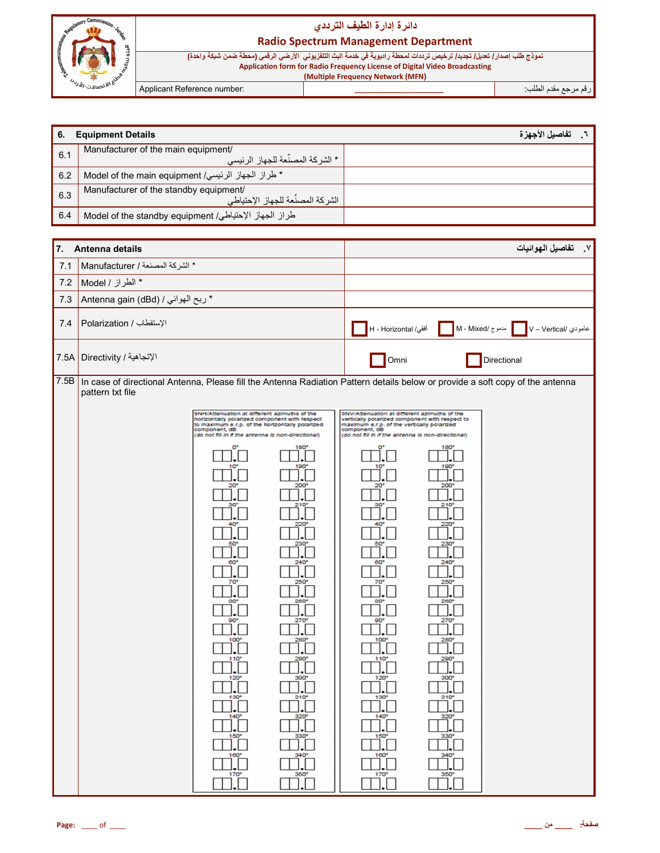

#### **Radio Spectrum Management Department**

نموذج طلب إصدار / تعديل/ تجديد/ ترخيص ترددات لمحطة راديوية في خدمة البث التلفزيوني الأرضي الرقمي (محطة ضمن شبكة واحدة) مستعدد المستعدد المستعدد المستعدد المستعدد المستعدد المستعدد المستعدد المستعدد المستعدد المستعدد المستعدد المس<br>Application form for Radio Frequency License of Digital Video Broadcasting<br>Multiple Frequency Network (MFN)

Applicant Reference number:

رقم مرجع مقدم الطلب<del>.</del>

| 6.   | <b>Equipment Details</b>                                                                                                                                                                                                                                                                                                                                                                                                                                                                                                                                                                                                                                                                                                                                                                      | ٦. تفاصيل الأجهزة                                                                                                                                                                                                                                                                                                                                                                                                                                                                                                                                                                                                                                                                                                                                                                                                                                                      |
|------|-----------------------------------------------------------------------------------------------------------------------------------------------------------------------------------------------------------------------------------------------------------------------------------------------------------------------------------------------------------------------------------------------------------------------------------------------------------------------------------------------------------------------------------------------------------------------------------------------------------------------------------------------------------------------------------------------------------------------------------------------------------------------------------------------|------------------------------------------------------------------------------------------------------------------------------------------------------------------------------------------------------------------------------------------------------------------------------------------------------------------------------------------------------------------------------------------------------------------------------------------------------------------------------------------------------------------------------------------------------------------------------------------------------------------------------------------------------------------------------------------------------------------------------------------------------------------------------------------------------------------------------------------------------------------------|
| 6.1  | Manufacturer of the main equipment/<br>* الشركة المصنِّعة للجهاز الرئيسي                                                                                                                                                                                                                                                                                                                                                                                                                                                                                                                                                                                                                                                                                                                      |                                                                                                                                                                                                                                                                                                                                                                                                                                                                                                                                                                                                                                                                                                                                                                                                                                                                        |
| 6.2  | * طراز الجهاز الرئيسي/ Model of the main equipment                                                                                                                                                                                                                                                                                                                                                                                                                                                                                                                                                                                                                                                                                                                                            |                                                                                                                                                                                                                                                                                                                                                                                                                                                                                                                                                                                                                                                                                                                                                                                                                                                                        |
| 6.3  | Manufacturer of the standby equipment/<br>الشركة المصنِّعة للجهاز الإحتياطي                                                                                                                                                                                                                                                                                                                                                                                                                                                                                                                                                                                                                                                                                                                   |                                                                                                                                                                                                                                                                                                                                                                                                                                                                                                                                                                                                                                                                                                                                                                                                                                                                        |
| 6.4  | طراز الجهاز الإحتياطي/ Model of the standby equipment                                                                                                                                                                                                                                                                                                                                                                                                                                                                                                                                                                                                                                                                                                                                         |                                                                                                                                                                                                                                                                                                                                                                                                                                                                                                                                                                                                                                                                                                                                                                                                                                                                        |
|      |                                                                                                                                                                                                                                                                                                                                                                                                                                                                                                                                                                                                                                                                                                                                                                                               |                                                                                                                                                                                                                                                                                                                                                                                                                                                                                                                                                                                                                                                                                                                                                                                                                                                                        |
| 7.   | Antenna details                                                                                                                                                                                                                                                                                                                                                                                                                                                                                                                                                                                                                                                                                                                                                                               | ٧. تفاصيل الهوائيات                                                                                                                                                                                                                                                                                                                                                                                                                                                                                                                                                                                                                                                                                                                                                                                                                                                    |
| 7.1  | * الشركة المصنعة / Manufacturer                                                                                                                                                                                                                                                                                                                                                                                                                                                                                                                                                                                                                                                                                                                                                               |                                                                                                                                                                                                                                                                                                                                                                                                                                                                                                                                                                                                                                                                                                                                                                                                                                                                        |
| 7.2  | * الطراز / Model                                                                                                                                                                                                                                                                                                                                                                                                                                                                                                                                                                                                                                                                                                                                                                              |                                                                                                                                                                                                                                                                                                                                                                                                                                                                                                                                                                                                                                                                                                                                                                                                                                                                        |
| 7.3  | * ربح الهوائي / Antenna gain (dBd)                                                                                                                                                                                                                                                                                                                                                                                                                                                                                                                                                                                                                                                                                                                                                            |                                                                                                                                                                                                                                                                                                                                                                                                                                                                                                                                                                                                                                                                                                                                                                                                                                                                        |
| 7.4  | الإستقطاب / Polarization                                                                                                                                                                                                                                                                                                                                                                                                                                                                                                                                                                                                                                                                                                                                                                      | عامودي /v – Vertical   مدموج /M - Mixed   أفقي/ H - Horizontal   أفقي                                                                                                                                                                                                                                                                                                                                                                                                                                                                                                                                                                                                                                                                                                                                                                                                  |
| 7.5A | الإتجاهية / Directivity                                                                                                                                                                                                                                                                                                                                                                                                                                                                                                                                                                                                                                                                                                                                                                       | Omni<br>Directional                                                                                                                                                                                                                                                                                                                                                                                                                                                                                                                                                                                                                                                                                                                                                                                                                                                    |
| 7.5B | In case of directional Antenna, Please fill the Antenna Radiation Pattern details below or provide a soft copy of the antenna<br>pattern txt file                                                                                                                                                                                                                                                                                                                                                                                                                                                                                                                                                                                                                                             |                                                                                                                                                                                                                                                                                                                                                                                                                                                                                                                                                                                                                                                                                                                                                                                                                                                                        |
|      | 9NH/Attenuation at different azimuths of the<br>horizontally polarized component with respect<br>to maximum e.r.p. of the horizontally polarized<br>component, dB<br>(do not fill in if the antenna is non-directional)<br>180<br>190<br>220<br>230<br>60<br>$240^{\circ}$<br>250°<br>70<br>80<br>260<br>$\Box$ . $\Box$<br>$\square \square \centerdot \square$<br>270°<br>80 <sub>e</sub><br>$\square$ .<br>$\exists$ . $\Box$<br>100°<br>$280^\circ$<br>].[<br>$\Box$<br>110 <sup>o</sup><br>$\overline{\mathcal{L}}$<br>$\exists$ . $\Box$<br>120°<br>300°<br>$\exists$ . $\Box$<br>130°<br>310 <sup>o</sup><br>$\cdot$<br>$\Box$<br>$\overline{\mathcal{L}}$<br>$\prod_{\bullet}^{140^{\circ}}$<br>$150^{\circ}$<br>330°<br>Ĩ.<br>$].\Box$<br>340°<br>160°<br>],[<br>J.L<br>170°<br>350° | 9NV/Attenuation at different azimuths of the<br>vertically polarized component with respect to<br>maximum e.r.p. of the vertically polarized<br>component, dB<br>(do not fill in if the antenna is non-directional)<br>180<br>190<br>200<br>210<br>220<br>50<br>230<br>60°<br>$240^\circ$<br>70 <sup>o</sup><br>250°<br>80°<br>260°<br>$\square$ . $\square$<br>$\sqcup\hspace{-0.14cm}\sqcup\hspace{-0.14cm}\sqcup$<br>270°<br>80 <sub>e</sub><br>$\square$ . $\square$<br>्री<br>100°<br>$280^\circ$<br>$\Box.$<br>$\Box. \Box$<br>$\overline{\mathcal{L}}$<br>110 <sup>o</sup><br>O.C<br>300°<br>120°<br>$\Box. \Box$<br>310 <sup>o</sup><br>130°<br>$\Box.$<br>$\Box. \Box$<br>$\frac{320^{\circ}}{\cdot}$<br>$\overline{\mathbf{L}}$<br>$\overline{\mathbb{R}}$<br>$\overline{\mathbf{R}^{\text{5}}$<br>160°<br>$\frac{340^{\circ}}{2}$<br>170°<br>350°<br>$\Box$ |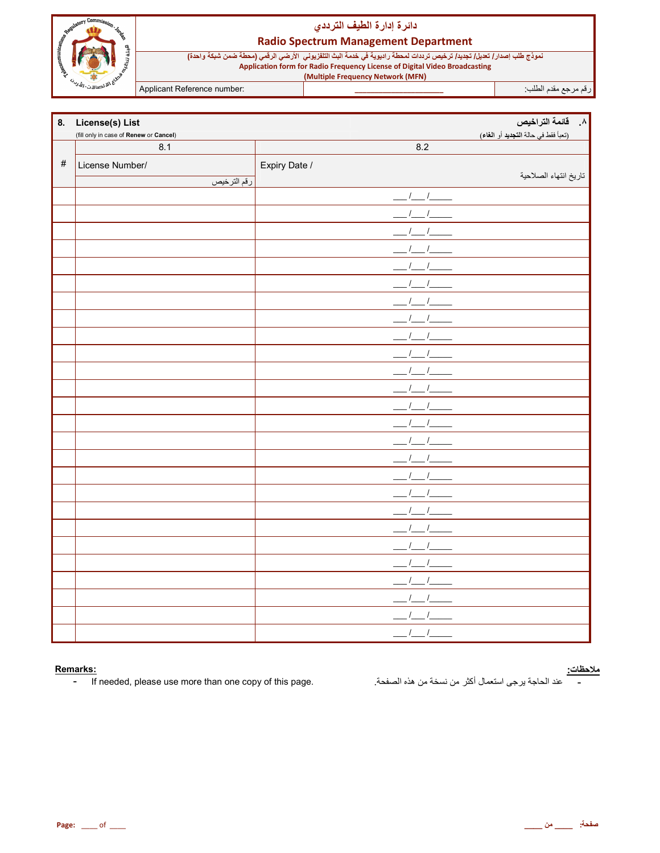

#### **Radio Spectrum Management Department**

نموذج طلب إصدار / تعديل/ تجديد/ ترخيص ترددات لمحطة راديوية في خدمة البث التلفزيوني الأرضي الرقمي (محطة ضمن شبكة واحدة) Application form for Radio Frequency License of Digital Video Broadcasting<br>(Multiple Frequency Network (MFN)

Applicant Reference number:

| 8.   | <b>License(s) List</b>                        |                      | ۸. قائمة التراخيص<br>(تعبأ فقط في حالة التجديد أو الغاء) |
|------|-----------------------------------------------|----------------------|----------------------------------------------------------|
|      | (fill only in case of Renew or Cancel)<br>8.1 | 8.2                  |                                                          |
| $\#$ | License Number/                               | Expiry Date /        |                                                          |
|      | رقم الترخيص                                   |                      | تاريخ انتهاء الصلاحية                                    |
|      |                                               | $\sqrt{2}$           |                                                          |
|      |                                               |                      |                                                          |
|      |                                               |                      |                                                          |
|      |                                               |                      |                                                          |
|      |                                               |                      |                                                          |
|      |                                               |                      |                                                          |
|      |                                               |                      |                                                          |
|      |                                               |                      |                                                          |
|      |                                               |                      |                                                          |
|      |                                               |                      |                                                          |
|      |                                               |                      |                                                          |
|      |                                               |                      |                                                          |
|      |                                               |                      |                                                          |
|      |                                               |                      |                                                          |
|      |                                               |                      |                                                          |
|      |                                               |                      |                                                          |
|      |                                               |                      |                                                          |
|      |                                               |                      |                                                          |
|      |                                               |                      |                                                          |
|      |                                               |                      |                                                          |
|      |                                               |                      |                                                          |
|      |                                               |                      |                                                          |
|      |                                               |                      |                                                          |
|      |                                               |                      |                                                          |
|      |                                               |                      |                                                          |
|      |                                               | $\prime$<br>$\prime$ |                                                          |

#### Remarks:

If needed, please use more than one copy of this page.  $\blacksquare$ 

<mark>ملاحظات:</mark><br>- عند الحاجة يرجى استعمال أكثر من نسخة من هذه الصفحة.